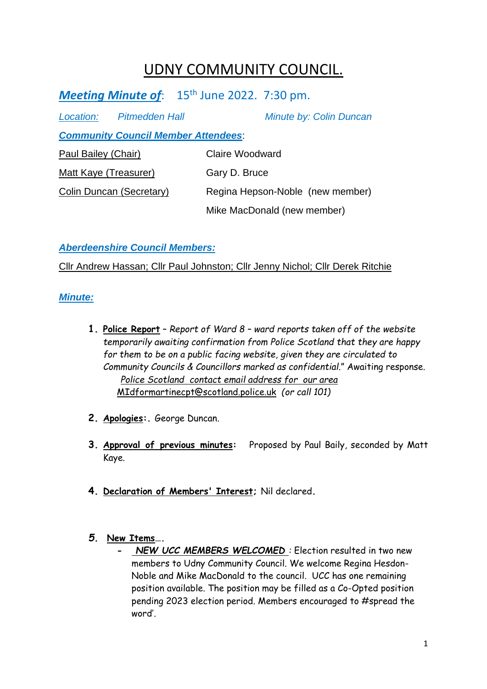# UDNY COMMUNITY COUNCIL.

Meeting Minute of: 15<sup>th</sup> June 2022. 7:30 pm.

| Location:                    | Pitmedden Hall                             | Minute by: Colin Duncan          |
|------------------------------|--------------------------------------------|----------------------------------|
|                              | <b>Community Council Member Attendees:</b> |                                  |
| Paul Bailey (Chair)          |                                            | Claire Woodward                  |
| <b>Matt Kaye (Treasurer)</b> |                                            | Gary D. Bruce                    |
| Colin Duncan (Secretary)     |                                            | Regina Hepson-Noble (new member) |
|                              |                                            | Mike MacDonald (new member)      |

*Aberdeenshire Council Members:*

Cllr Andrew Hassan; Cllr Paul Johnston; Cllr Jenny Nichol; Cllr Derek Ritchie

*Minute:*

- **1. Police Report** *Report of Ward 8 – ward reports taken off of the website temporarily awaiting confirmation from Police Scotland that they are happy for them to be on a public facing website, given they are circulated to Community Councils & Councillors marked as confidential*." Awaiting response. *Police Scotland contact email address for our area*  [MIdformartinecpt@scotland.police.uk](mailto:MIdformartinecpt@scotland.police.uk) *(or call 101)*
- **2. Apologies:.** George Duncan.
- **3. Approval of previous minutes:** Proposed by Paul Baily, seconded by Matt Kaye.
- **4. Declaration of Members' Interest;** Nil declared**.**
- *5.* **New Items….**
	- **-** *NEW UCC MEMBERS WELCOMED :* Election resulted in two new members to Udny Community Council. We welcome Regina Hesdon-Noble and Mike MacDonald to the council. UCC has one remaining position available. The position may be filled as a Co-Opted position pending 2023 election period. Members encouraged to #spread the word'.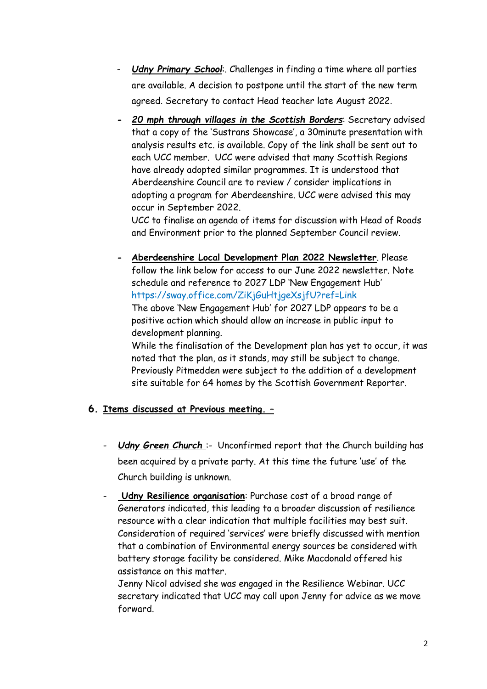- *Udny Primary School*:. Challenges in finding a time where all parties are available. A decision to postpone until the start of the new term agreed. Secretary to contact Head teacher late August 2022.
- **-** *20 mph through villages in the Scottish Borders*: Secretary advised that a copy of the 'Sustrans Showcase', a 30minute presentation with analysis results etc. is available. Copy of the link shall be sent out to each UCC member. UCC were advised that many Scottish Regions have already adopted similar programmes. It is understood that Aberdeenshire Council are to review / consider implications in adopting a program for Aberdeenshire. UCC were advised this may occur in September 2022.

UCC to finalise an agenda of items for discussion with Head of Roads and Environment prior to the planned September Council review.

**- Aberdeenshire Local Development Plan 2022 Newsletter**. Please follow the link below for access to our June 2022 newsletter. Note schedule and reference to 2027 LDP 'New Engagement Hub' <https://sway.office.com/ZiKjGuHtjgeXsjfU?ref=Link> The above 'New Engagement Hub' for 2027 LDP appears to be a

positive action which should allow an increase in public input to development planning.

While the finalisation of the Development plan has yet to occur, it was noted that the plan, as it stands, may still be subject to change. Previously Pitmedden were subject to the addition of a development site suitable for 64 homes by the Scottish Government Reporter.

### **6. Items discussed at Previous meeting. –**

- *Udny Green Church* :- Unconfirmed report that the Church building has been acquired by a private party. At this time the future 'use' of the Church building is unknown.
- **Udny Resilience organisation:** Purchase cost of a broad range of Generators indicated, this leading to a broader discussion of resilience resource with a clear indication that multiple facilities may best suit. Consideration of required 'services' were briefly discussed with mention that a combination of Environmental energy sources be considered with battery storage facility be considered. Mike Macdonald offered his assistance on this matter.

Jenny Nicol advised she was engaged in the Resilience Webinar. UCC secretary indicated that UCC may call upon Jenny for advice as we move forward.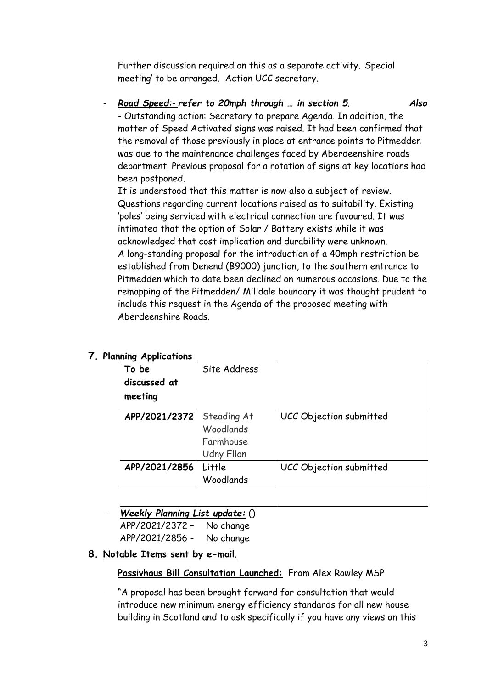Further discussion required on this as a separate activity. 'Special meeting' to be arranged. Action UCC secretary.

- *Road Speed:- refer to 20mph through … in section 5*. *Also* - Outstanding action: Secretary to prepare Agenda. In addition, the matter of Speed Activated signs was raised. It had been confirmed that the removal of those previously in place at entrance points to Pitmedden was due to the maintenance challenges faced by Aberdeenshire roads department. Previous proposal for a rotation of signs at key locations had been postponed.

It is understood that this matter is now also a subject of review. Questions regarding current locations raised as to suitability. Existing 'poles' being serviced with electrical connection are favoured. It was intimated that the option of Solar / Battery exists while it was acknowledged that cost implication and durability were unknown. A long-standing proposal for the introduction of a 40mph restriction be established from Denend (B9000) junction, to the southern entrance to Pitmedden which to date been declined on numerous occasions. Due to the remapping of the Pitmedden/ Milldale boundary it was thought prudent to include this request in the Agenda of the proposed meeting with Aberdeenshire Roads.

#### **To be discussed at meeting** Site Address **APP/2021/2372** Steading At Woodlands Farmhouse Udny Ellon UCC Objection submitted **APP/2021/2856** Little **Woodlands** UCC Objection submitted

## **7. Planning Applications**

- *Weekly Planning List update:* () APP/2021/2372 – No change APP/2021/2856 - No change

### **8. Notable Items sent by e-mail**.

### **Passivhaus Bill Consultation Launched:** From Alex Rowley MSP

"A proposal has been brought forward for consultation that would introduce new minimum energy efficiency standards for all new house building in Scotland and to ask specifically if you have any views on this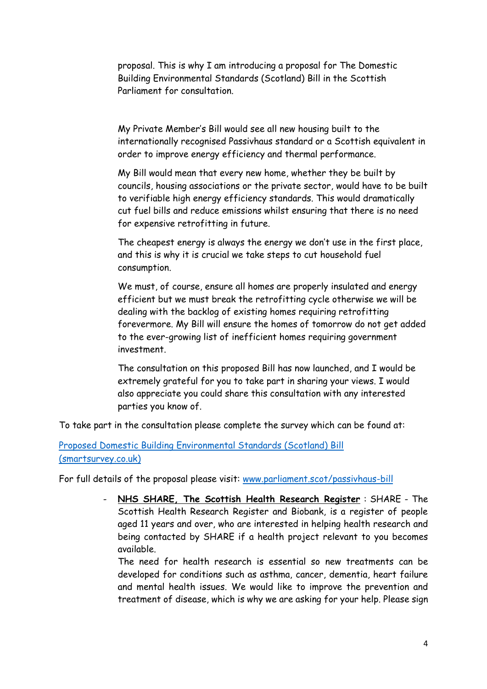proposal. This is why I am introducing a proposal for The Domestic Building Environmental Standards (Scotland) Bill in the Scottish Parliament for consultation.

My Private Member's Bill would see all new housing built to the internationally recognised Passivhaus standard or a Scottish equivalent in order to improve energy efficiency and thermal performance.

My Bill would mean that every new home, whether they be built by councils, housing associations or the private sector, would have to be built to verifiable high energy efficiency standards. This would dramatically cut fuel bills and reduce emissions whilst ensuring that there is no need for expensive retrofitting in future.

The cheapest energy is always the energy we don't use in the first place, and this is why it is crucial we take steps to cut household fuel consumption.

We must, of course, ensure all homes are properly insulated and energy efficient but we must break the retrofitting cycle otherwise we will be dealing with the backlog of existing homes requiring retrofitting forevermore. My Bill will ensure the homes of tomorrow do not get added to the ever-growing list of inefficient homes requiring government investment.

The consultation on this proposed Bill has now launched, and I would be extremely grateful for you to take part in sharing your views. I would also appreciate you could share this consultation with any interested parties you know of.

To take part in the consultation please complete the survey which can be found at:

[Proposed Domestic Building Environmental Standards \(Scotland\) Bill](https://www.smartsurvey.co.uk/s/BuildingStandards/)  [\(smartsurvey.co.uk\)](https://www.smartsurvey.co.uk/s/BuildingStandards/)

For full details of the proposal please visit: [www.parliament.scot/passivhaus-bill](http://www.parliament.scot/passivhaus-bill)

- **NHS SHARE, The Scottish Health Research Register** : SHARE - The Scottish Health Research Register and Biobank, is a register of people aged 11 years and over, who are interested in helping health research and being contacted by SHARE if a health project relevant to you becomes available.

The need for health research is essential so new treatments can be developed for conditions such as asthma, cancer, dementia, heart failure and mental health issues. We would like to improve the prevention and treatment of disease, which is why we are asking for your help. Please sign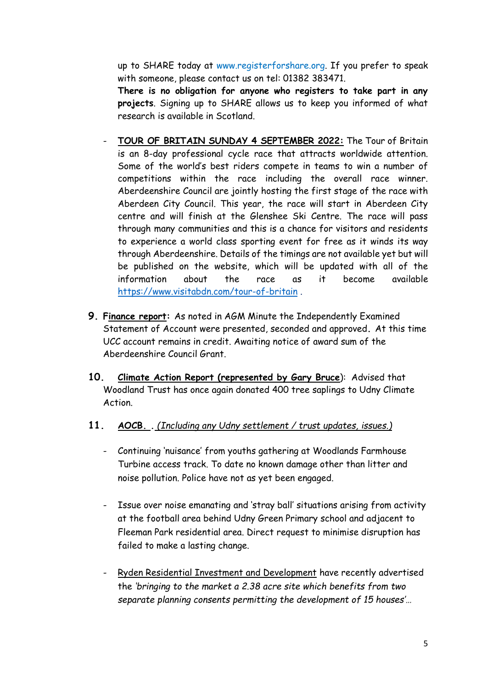up to SHARE today at [www.registerforshare.org.](http://www.registerforshare.org/) If you prefer to speak with someone, please contact us on tel: 01382 383471.

**There is no obligation for anyone who registers to take part in any projects**. Signing up to SHARE allows us to keep you informed of what research is available in Scotland.

- **TOUR OF BRITAIN SUNDAY 4 SEPTEMBER 2022:** The Tour of Britain is an 8-day professional cycle race that attracts worldwide attention. Some of the world's best riders compete in teams to win a number of competitions within the race including the overall race winner. Aberdeenshire Council are jointly hosting the first stage of the race with Aberdeen City Council. This year, the race will start in Aberdeen City centre and will finish at the Glenshee Ski Centre. The race will pass through many communities and this is a chance for visitors and residents to experience a world class sporting event for free as it winds its way through Aberdeenshire. Details of the timings are not available yet but will be published on the website, which will be updated with all of the information about the race as it become available <https://www.visitabdn.com/tour-of-britain> .
- **9. Finance report:** As noted in AGM Minute the Independently Examined Statement of Account were presented, seconded and approved**.** At this time UCC account remains in credit. Awaiting notice of award sum of the Aberdeenshire Council Grant.
- **10. Climate Action Report (represented by Gary Bruce**): Advised that Woodland Trust has once again donated 400 tree saplings to Udny Climate Action.

#### **11. AOCB. .** *(Including any Udny settlement / trust updates, issues.)*

- Continuing 'nuisance' from youths gathering at Woodlands Farmhouse Turbine access track. To date no known damage other than litter and noise pollution. Police have not as yet been engaged.
- Issue over noise emanating and 'stray ball' situations arising from activity at the football area behind Udny Green Primary school and adjacent to Fleeman Park residential area. Direct request to minimise disruption has failed to make a lasting change.
- Ryden Residential Investment and Development have recently advertised the *'bringing to the market a 2.38 acre site which benefits from two separate planning consents permitting the development of 15 houses'…*